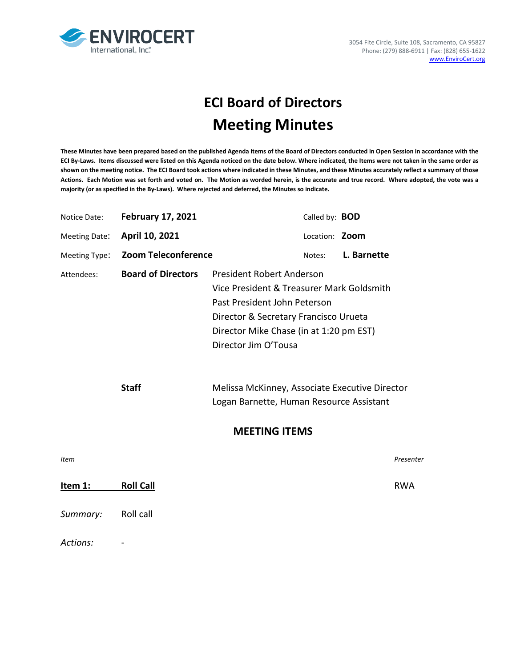

# **ECI Board of Directors Meeting Minutes**

**These Minutes have been prepared based on the published Agenda Items of the Board of Directors conducted in Open Session in accordance with the ECI By-Laws. Items discussed were listed on this Agenda noticed on the date below. Where indicated, the Items were not taken in the same order as shown on the meeting notice. The ECI Board took actions where indicated in these Minutes, and these Minutes accurately reflect a summary of those Actions. Each Motion was set forth and voted on. The Motion as worded herein, is the accurate and true record. Where adopted, the vote was a majority (or as specified in the By-Laws). Where rejected and deferred, the Minutes so indicate.**

| Notice Date:  | <b>February 17, 2021</b>   | Called by: <b>BOD</b>                                                                                                                                                                                                     |            |  |  |
|---------------|----------------------------|---------------------------------------------------------------------------------------------------------------------------------------------------------------------------------------------------------------------------|------------|--|--|
| Meeting Date: | April 10, 2021             | Location: <b>Zoom</b>                                                                                                                                                                                                     |            |  |  |
| Meeting Type: | <b>Zoom Teleconference</b> | L. Barnette<br>Notes:                                                                                                                                                                                                     |            |  |  |
| Attendees:    | <b>Board of Directors</b>  | <b>President Robert Anderson</b><br>Vice President & Treasurer Mark Goldsmith<br>Past President John Peterson<br>Director & Secretary Francisco Urueta<br>Director Mike Chase (in at 1:20 pm EST)<br>Director Jim O'Tousa |            |  |  |
|               | <b>Staff</b>               | Melissa McKinney, Associate Executive Director<br>Logan Barnette, Human Resource Assistant                                                                                                                                |            |  |  |
|               | <b>MEETING ITEMS</b>       |                                                                                                                                                                                                                           |            |  |  |
| Item          |                            |                                                                                                                                                                                                                           | Presenter  |  |  |
| Item 1:       | <b>Roll Call</b>           |                                                                                                                                                                                                                           | <b>RWA</b> |  |  |
| Summary:      | Roll call                  |                                                                                                                                                                                                                           |            |  |  |
| Actions:      |                            |                                                                                                                                                                                                                           |            |  |  |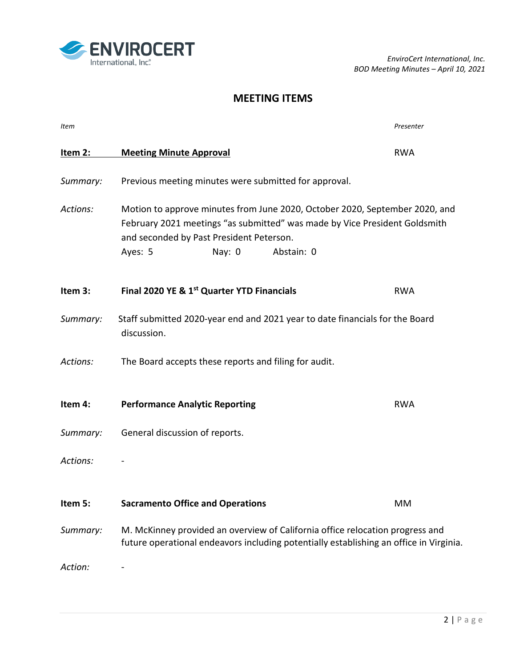

*EnviroCert International, Inc. BOD Meeting Minutes – April 10, 2021*

# **MEETING ITEMS**

| Item     |                                                                                                                                                                                                                                          | Presenter  |  |
|----------|------------------------------------------------------------------------------------------------------------------------------------------------------------------------------------------------------------------------------------------|------------|--|
| Item 2:  | <b>Meeting Minute Approval</b>                                                                                                                                                                                                           | <b>RWA</b> |  |
| Summary: | Previous meeting minutes were submitted for approval.                                                                                                                                                                                    |            |  |
| Actions: | Motion to approve minutes from June 2020, October 2020, September 2020, and<br>February 2021 meetings "as submitted" was made by Vice President Goldsmith<br>and seconded by Past President Peterson.<br>Abstain: 0<br>Ayes: 5<br>Nay: 0 |            |  |
| Item 3:  | Final 2020 YE & 1 <sup>st</sup> Quarter YTD Financials                                                                                                                                                                                   | <b>RWA</b> |  |
| Summary: | Staff submitted 2020-year end and 2021 year to date financials for the Board<br>discussion.                                                                                                                                              |            |  |
| Actions: | The Board accepts these reports and filing for audit.                                                                                                                                                                                    |            |  |
| Item 4:  | <b>Performance Analytic Reporting</b>                                                                                                                                                                                                    | <b>RWA</b> |  |
| Summary: | General discussion of reports.                                                                                                                                                                                                           |            |  |
| Actions: |                                                                                                                                                                                                                                          |            |  |
| Item 5:  | <b>Sacramento Office and Operations</b>                                                                                                                                                                                                  | MM         |  |
| Summary: | M. McKinney provided an overview of California office relocation progress and<br>future operational endeavors including potentially establishing an office in Virginia.                                                                  |            |  |
| Action:  |                                                                                                                                                                                                                                          |            |  |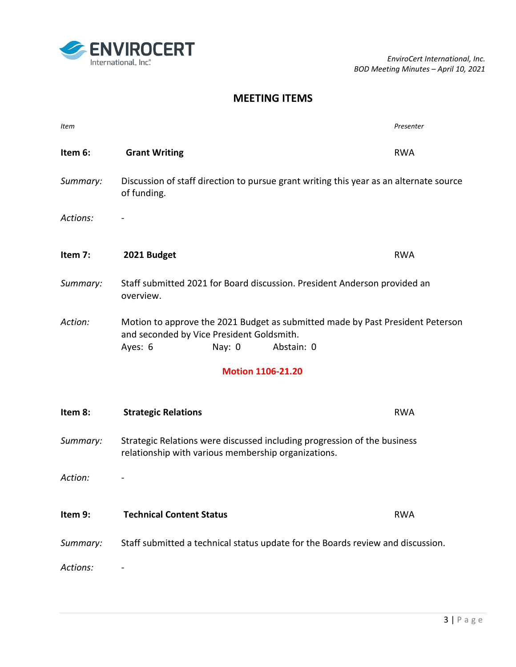*EnviroCert International, Inc. BOD Meeting Minutes – April 10, 2021*

#### **MEETING ITEMS**

| Item                     |                                                                                                                                                                  | Presenter  |  |  |
|--------------------------|------------------------------------------------------------------------------------------------------------------------------------------------------------------|------------|--|--|
| Item 6:                  | <b>Grant Writing</b>                                                                                                                                             | <b>RWA</b> |  |  |
| Summary:                 | Discussion of staff direction to pursue grant writing this year as an alternate source<br>of funding.                                                            |            |  |  |
| Actions:                 |                                                                                                                                                                  |            |  |  |
| Item 7:                  | 2021 Budget                                                                                                                                                      | <b>RWA</b> |  |  |
| Summary:                 | Staff submitted 2021 for Board discussion. President Anderson provided an<br>overview.                                                                           |            |  |  |
| Action:                  | Motion to approve the 2021 Budget as submitted made by Past President Peterson<br>and seconded by Vice President Goldsmith.<br>Ayes: 6<br>Abstain: 0<br>Nay: $0$ |            |  |  |
| <b>Motion 1106-21.20</b> |                                                                                                                                                                  |            |  |  |
| Item 8:                  | <b>Strategic Relations</b>                                                                                                                                       | <b>RWA</b> |  |  |
| Summary:                 | Strategic Relations were discussed including progression of the business<br>relationship with various membership organizations.                                  |            |  |  |
| Action:                  |                                                                                                                                                                  |            |  |  |
| Item 9:                  | <b>Technical Content Status</b>                                                                                                                                  | <b>RWA</b> |  |  |
| Summary:                 | Staff submitted a technical status update for the Boards review and discussion.                                                                                  |            |  |  |
| Actions:                 |                                                                                                                                                                  |            |  |  |

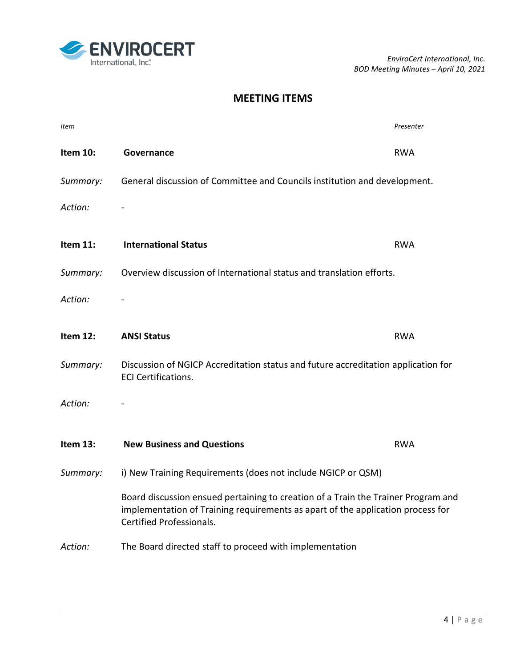*EnviroCert International, Inc. BOD Meeting Minutes – April 10, 2021*

### **MEETING ITEMS**

| Item     |                                                                                                                                                                                                  | Presenter  |  |
|----------|--------------------------------------------------------------------------------------------------------------------------------------------------------------------------------------------------|------------|--|
| Item 10: | Governance                                                                                                                                                                                       | <b>RWA</b> |  |
| Summary: | General discussion of Committee and Councils institution and development.                                                                                                                        |            |  |
| Action:  |                                                                                                                                                                                                  |            |  |
| Item 11: | <b>International Status</b>                                                                                                                                                                      | <b>RWA</b> |  |
| Summary: | Overview discussion of International status and translation efforts.                                                                                                                             |            |  |
| Action:  |                                                                                                                                                                                                  |            |  |
| Item 12: | <b>ANSI Status</b>                                                                                                                                                                               | <b>RWA</b> |  |
| Summary: | Discussion of NGICP Accreditation status and future accreditation application for<br><b>ECI Certifications.</b>                                                                                  |            |  |
| Action:  |                                                                                                                                                                                                  |            |  |
| Item 13: | <b>New Business and Questions</b>                                                                                                                                                                | <b>RWA</b> |  |
| Summary: | i) New Training Requirements (does not include NGICP or QSM)                                                                                                                                     |            |  |
|          | Board discussion ensued pertaining to creation of a Train the Trainer Program and<br>implementation of Training requirements as apart of the application process for<br>Certified Professionals. |            |  |
| Action:  | The Board directed staff to proceed with implementation                                                                                                                                          |            |  |